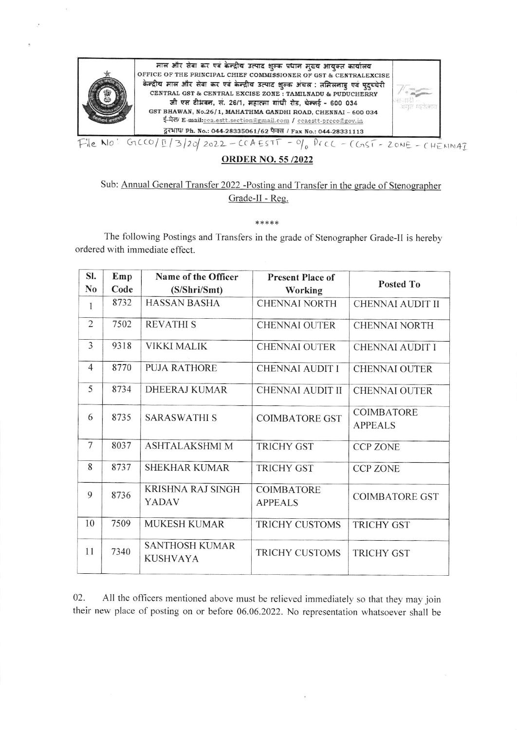

## **ORDER NO. 55/2022**

# Sub: Annual General Transfer 2022 -Posting and Transfer in the grade of Stenographer Grade-II - Reg.

#### \*\*\*\*\*

The following Postings and Transfers in the grade of Stenographer Grade-II is hereby ordered with immediate effect.

| SI.            | Emp  | Name of the Officer                      | <b>Present Place of</b> |                         |
|----------------|------|------------------------------------------|-------------------------|-------------------------|
| N <sub>0</sub> | Code | (S/Shri/Smt)                             | Working                 | Posted To               |
| 1              | 8732 | <b>HASSAN BASHA</b>                      | <b>CHENNAI NORTH</b>    | <b>CHENNAI AUDIT II</b> |
| $\overline{2}$ | 7502 | <b>REVATHIS</b>                          | <b>CHENNAI OUTER</b>    | <b>CHENNAI NORTH</b>    |
| $\overline{3}$ | 9318 | <b>VIKKI MALIK</b>                       | <b>CHENNAI OUTER</b>    | <b>CHENNAI AUDIT I</b>  |
| $\overline{4}$ | 8770 | <b>PUJA RATHORE</b>                      | <b>CHENNAI AUDIT I</b>  | <b>CHENNAI OUTER</b>    |
| 5              | 8734 | DHEERAJ KUMAR                            | <b>CHENNAI AUDIT II</b> | <b>CHENNAI OUTER</b>    |
| 6              | 8735 | <b>SARASWATHI S</b>                      | <b>COIMBATORE GST</b>   | COIMBATORE              |
|                |      |                                          |                         | <b>APPEALS</b>          |
| $\overline{7}$ | 8037 | <b>ASHTALAKSHMI M</b>                    | <b>TRICHY GST</b>       | <b>CCP ZONE</b>         |
| 8              | 8737 | <b>SHEKHAR KUMAR</b>                     | <b>TRICHY GST</b>       | <b>CCP ZONE</b>         |
| 9              | 8736 | <b>KRISHNA RAJ SINGH</b>                 | <b>COIMBATORE</b>       | <b>COIMBATORE GST</b>   |
|                |      | <b>YADAV</b>                             | <b>APPEALS</b>          |                         |
| 10             | 7509 | <b>MUKESH KUMAR</b>                      | <b>TRICHY CUSTOMS</b>   | <b>TRICHY GST</b>       |
| 11             | 7340 | <b>SANTHOSH KUMAR</b><br><b>KUSHVAYA</b> | <b>TRICHY CUSTOMS</b>   | <b>TRICHY GST</b>       |
|                |      |                                          |                         |                         |

02. All the officers mentioned above must be relieved immediately so that they may join their new place of posting on or before 06.06.2022. No representation whatsoever shall be